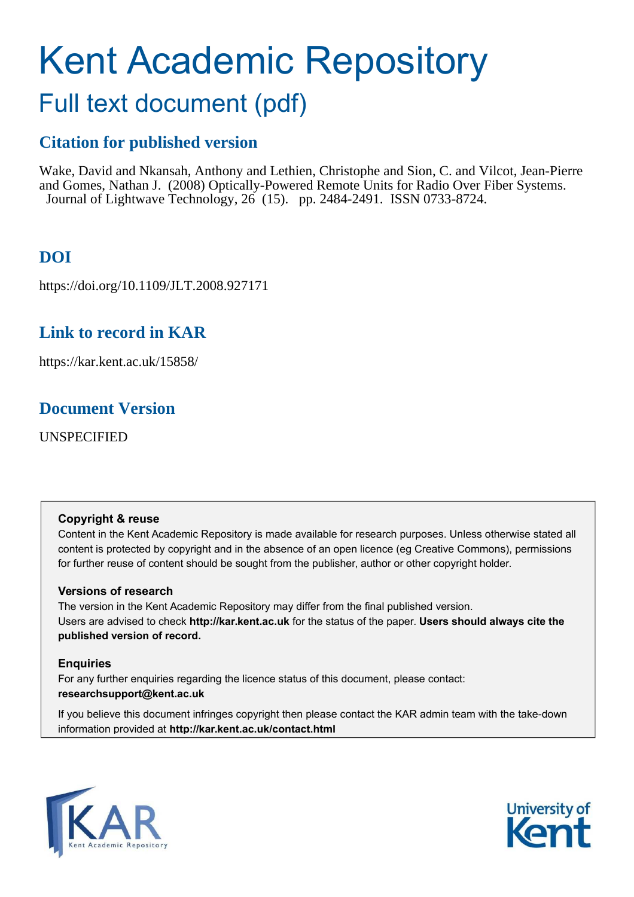# Kent Academic Repository

# Full text document (pdf)

## **Citation for published version**

Wake, David and Nkansah, Anthony and Lethien, Christophe and Sion, C. and Vilcot, Jean-Pierre and Gomes, Nathan J. (2008) Optically-Powered Remote Units for Radio Over Fiber Systems. Journal of Lightwave Technology, 26 (15). pp. 2484-2491. ISSN 0733-8724.

# **DOI**

https://doi.org/10.1109/JLT.2008.927171

### **Link to record in KAR**

https://kar.kent.ac.uk/15858/

### **Document Version**

UNSPECIFIED

#### **Copyright & reuse**

Content in the Kent Academic Repository is made available for research purposes. Unless otherwise stated all content is protected by copyright and in the absence of an open licence (eg Creative Commons), permissions for further reuse of content should be sought from the publisher, author or other copyright holder.

#### **Versions of research**

The version in the Kent Academic Repository may differ from the final published version. Users are advised to check **http://kar.kent.ac.uk** for the status of the paper. **Users should always cite the published version of record.**

#### **Enquiries**

For any further enquiries regarding the licence status of this document, please contact: **researchsupport@kent.ac.uk**

If you believe this document infringes copyright then please contact the KAR admin team with the take-down information provided at **http://kar.kent.ac.uk/contact.html**



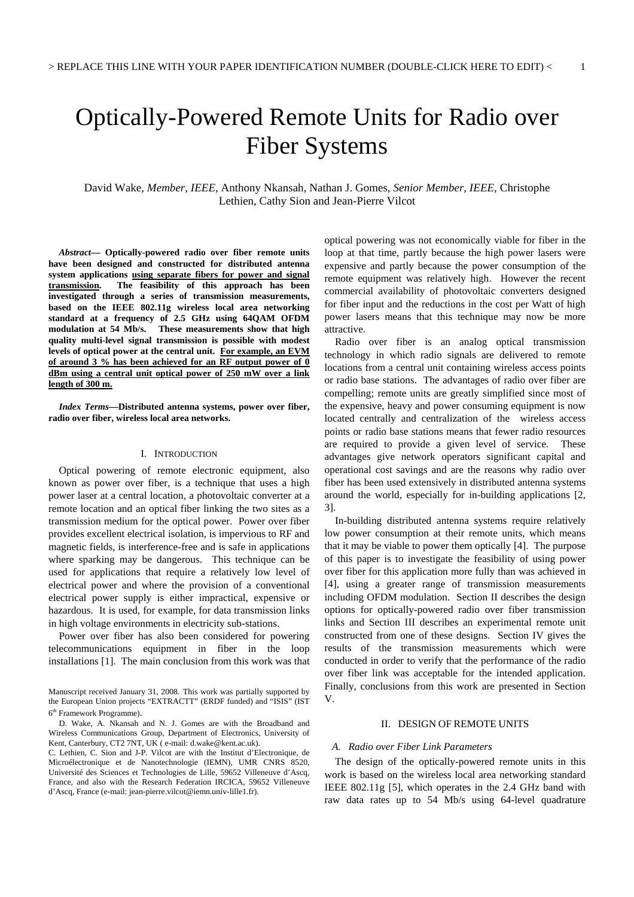# Optically-Powered Remote Units for Radio over Fiber Systems

David Wake, *Member, IEEE*, Anthony Nkansah, Nathan J. Gomes, *Senior Member, IEEE*, Christophe Lethien, Cathy Sion and Jean-Pierre Vilcot

*Abstract***— Optically-powered radio over fiber remote units have been designed and constructed for distributed antenna system applications using separate fibers for power and signal transmission. The feasibility of this approach has been investigated through a series of transmission measurements, based on the IEEE 802.11g wireless local area networking standard at a frequency of 2.5 GHz using 64QAM OFDM**  These measurements show that high **quality multi-level signal transmission is possible with modest levels of optical power at the central unit. For example, an EVM of around 3 % has been achieved for an RF output power of 0 dBm using a central unit optical power of 250 mW over a link length of 300 m.**

*Index Terms***—Distributed antenna systems, power over fiber, radio over fiber, wireless local area networks.** 

#### I. INTRODUCTION

Optical powering of remote electronic equipment, also known as power over fiber, is a technique that uses a high power laser at a central location, a photovoltaic converter at a remote location and an optical fiber linking the two sites as a transmission medium for the optical power. Power over fiber provides excellent electrical isolation, is impervious to RF and magnetic fields, is interference-free and is safe in applications where sparking may be dangerous. This technique can be used for applications that require a relatively low level of electrical power and where the provision of a conventional electrical power supply is either impractical, expensive or hazardous. It is used, for example, for data transmission links in high voltage environments in electricity sub-stations.

Power over fiber has also been considered for powering telecommunications equipment in fiber in the loop installations [1]. The main conclusion from this work was that optical powering was not economically viable for fiber in the loop at that time, partly because the high power lasers were expensive and partly because the power consumption of the remote equipment was relatively high. However the recent commercial availability of photovoltaic converters designed for fiber input and the reductions in the cost per Watt of high power lasers means that this technique may now be more attractive.

Radio over fiber is an analog optical transmission technology in which radio signals are delivered to remote locations from a central unit containing wireless access points or radio base stations. The advantages of radio over fiber are compelling; remote units are greatly simplified since most of the expensive, heavy and power consuming equipment is now located centrally and centralization of the wireless access points or radio base stations means that fewer radio resources are required to provide a given level of service. These advantages give network operators significant capital and operational cost savings and are the reasons why radio over fiber has been used extensively in distributed antenna systems around the world, especially for in-building applications [2, 3].

In-building distributed antenna systems require relatively low power consumption at their remote units, which means that it may be viable to power them optically [4]. The purpose of this paper is to investigate the feasibility of using power over fiber for this application more fully than was achieved in [4], using a greater range of transmission measurements including OFDM modulation. Section II describes the design options for optically-powered radio over fiber transmission links and Section III describes an experimental remote unit constructed from one of these designs. Section IV gives the results of the transmission measurements which were conducted in order to verify that the performance of the radio over fiber link was acceptable for the intended application. Finally, conclusions from this work are presented in Section V.

#### II. DESIGN OF REMOTE UNITS

#### *A. Radio over Fiber Link Parameters*

The design of the optically-powered remote units in this work is based on the wireless local area networking standard IEEE 802.11g [5], which operates in the 2.4 GHz band with raw data rates up to 54 Mb/s using 64-level quadrature

Manuscript received January 31, 2008. This work was partially supported by the European Union projects "EXTRACTT" (ERDF funded) and "ISIS" (IST 6 th Framework Programme).

D. Wake, A. Nkansah and N. J. Gomes are with the Broadband and Wireless Communications Group, Department of Electronics, University of Kent, Canterbury, CT2 7NT, UK ( e-mail: d.wake@kent.ac.uk).

C. Lethien, C. Sion and J-P. Vilcot are with the Institut d'Electronique, de Microélectronique et de Nanotechnologie (IEMN), UMR CNRS 8520, Université des Sciences et Technologies de Lille, 59652 Villeneuve d'Ascq, France, and also with the Research Federation IRCICA, 59652 Villeneuve d'Ascq, France (e-mail: jean-pierre.vilcot@iemn.univ-lille1.fr).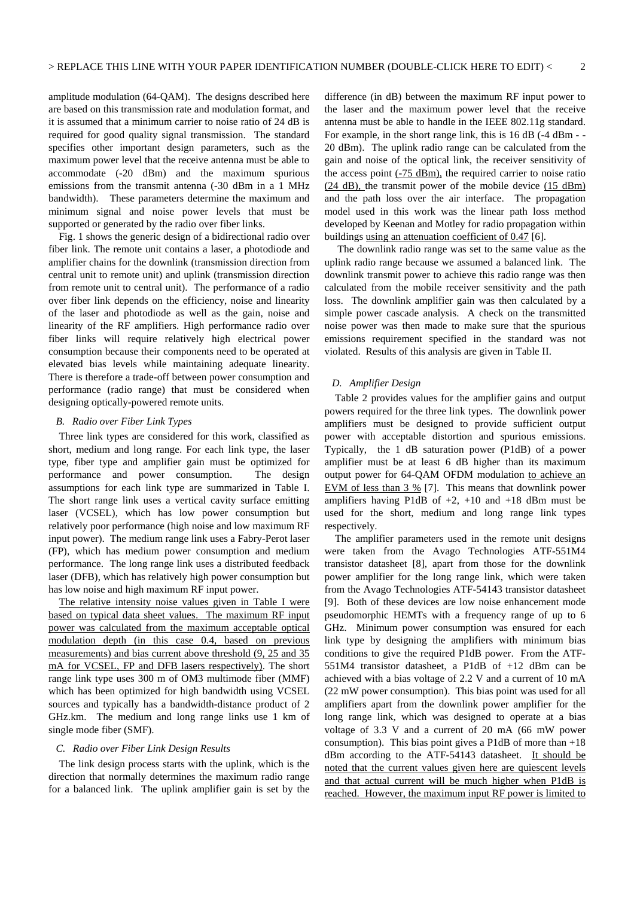amplitude modulation (64-QAM). The designs described here are based on this transmission rate and modulation format, and it is assumed that a minimum carrier to noise ratio of 24 dB is required for good quality signal transmission. The standard specifies other important design parameters, such as the maximum power level that the receive antenna must be able to accommodate (-20 dBm) and the maximum spurious emissions from the transmit antenna (-30 dBm in a 1 MHz bandwidth). These parameters determine the maximum and minimum signal and noise power levels that must be supported or generated by the radio over fiber links.

Fig. 1 shows the generic design of a bidirectional radio over fiber link. The remote unit contains a laser, a photodiode and amplifier chains for the downlink (transmission direction from central unit to remote unit) and uplink (transmission direction from remote unit to central unit). The performance of a radio over fiber link depends on the efficiency, noise and linearity of the laser and photodiode as well as the gain, noise and linearity of the RF amplifiers. High performance radio over fiber links will require relatively high electrical power consumption because their components need to be operated at elevated bias levels while maintaining adequate linearity. There is therefore a trade-off between power consumption and performance (radio range) that must be considered when designing optically-powered remote units.

#### *B. Radio over Fiber Link Types*

Three link types are considered for this work, classified as short, medium and long range. For each link type, the laser type, fiber type and amplifier gain must be optimized for performance and power consumption. The design assumptions for each link type are summarized in Table I. The short range link uses a vertical cavity surface emitting laser (VCSEL), which has low power consumption but relatively poor performance (high noise and low maximum RF input power). The medium range link uses a Fabry-Perot laser (FP), which has medium power consumption and medium performance. The long range link uses a distributed feedback laser (DFB), which has relatively high power consumption but has low noise and high maximum RF input power.

The relative intensity noise values given in Table I were based on typical data sheet values. The maximum RF input power was calculated from the maximum acceptable optical modulation depth (in this case 0.4, based on previous measurements) and bias current above threshold (9, 25 and 35 mA for VCSEL, FP and DFB lasers respectively). The short range link type uses 300 m of OM3 multimode fiber (MMF) which has been optimized for high bandwidth using VCSEL sources and typically has a bandwidth-distance product of 2 GHz.km. The medium and long range links use 1 km of single mode fiber (SMF).

#### *C. Radio over Fiber Link Design Results*

The link design process starts with the uplink, which is the direction that normally determines the maximum radio range for a balanced link. The uplink amplifier gain is set by the difference (in dB) between the maximum RF input power to the laser and the maximum power level that the receive antenna must be able to handle in the IEEE 802.11g standard. For example, in the short range link, this is 16 dB (-4 dBm - - 20 dBm). The uplink radio range can be calculated from the gain and noise of the optical link, the receiver sensitivity of the access point (-75 dBm), the required carrier to noise ratio (24 dB), the transmit power of the mobile device (15 dBm) and the path loss over the air interface. The propagation model used in this work was the linear path loss method developed by Keenan and Motley for radio propagation within buildings using an attenuation coefficient of 0.47 [6].

 The downlink radio range was set to the same value as the uplink radio range because we assumed a balanced link. The downlink transmit power to achieve this radio range was then calculated from the mobile receiver sensitivity and the path loss. The downlink amplifier gain was then calculated by a simple power cascade analysis. A check on the transmitted noise power was then made to make sure that the spurious emissions requirement specified in the standard was not violated. Results of this analysis are given in Table II.

#### *D. Amplifier Design*

Table 2 provides values for the amplifier gains and output powers required for the three link types. The downlink power amplifiers must be designed to provide sufficient output power with acceptable distortion and spurious emissions. Typically, the 1 dB saturation power (P1dB) of a power amplifier must be at least 6 dB higher than its maximum output power for 64-QAM OFDM modulation to achieve an EVM of less than 3 % [7]. This means that downlink power amplifiers having P1dB of  $+2$ ,  $+10$  and  $+18$  dBm must be used for the short, medium and long range link types respectively.

The amplifier parameters used in the remote unit designs were taken from the Avago Technologies ATF-551M4 transistor datasheet [8], apart from those for the downlink power amplifier for the long range link, which were taken from the Avago Technologies ATF-54143 transistor datasheet [9]. Both of these devices are low noise enhancement mode pseudomorphic HEMTs with a frequency range of up to 6 GHz. Minimum power consumption was ensured for each link type by designing the amplifiers with minimum bias conditions to give the required P1dB power. From the ATF-551M4 transistor datasheet, a P1dB of +12 dBm can be achieved with a bias voltage of 2.2 V and a current of 10 mA (22 mW power consumption). This bias point was used for all amplifiers apart from the downlink power amplifier for the long range link, which was designed to operate at a bias voltage of 3.3 V and a current of 20 mA (66 mW power consumption). This bias point gives a P1dB of more than  $+18$ dBm according to the ATF-54143 datasheet. It should be noted that the current values given here are quiescent levels and that actual current will be much higher when P1dB is reached. However, the maximum input RF power is limited to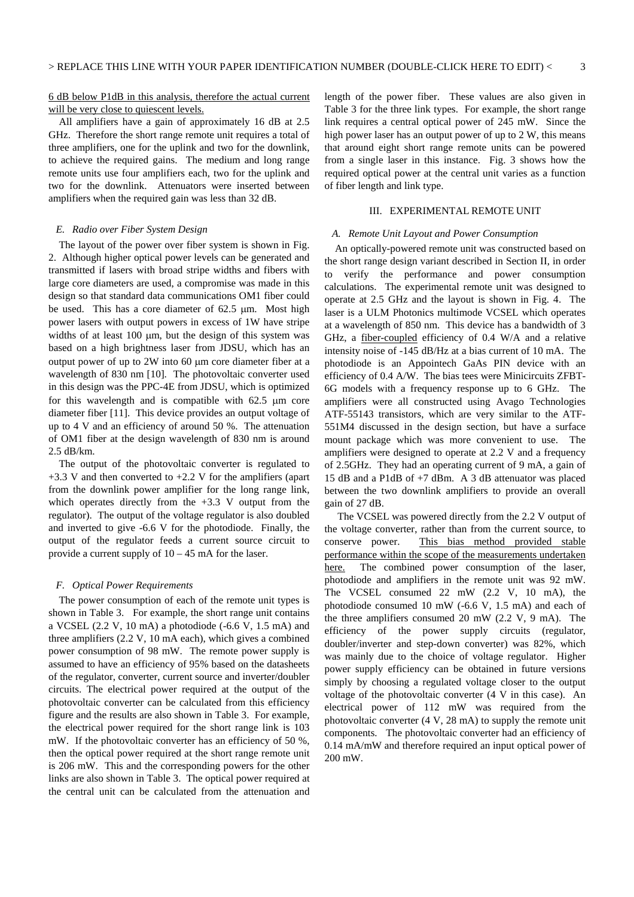#### 6 dB below P1dB in this analysis, therefore the actual current will be very close to quiescent levels.

All amplifiers have a gain of approximately 16 dB at 2.5 GHz. Therefore the short range remote unit requires a total of three amplifiers, one for the uplink and two for the downlink, to achieve the required gains. The medium and long range remote units use four amplifiers each, two for the uplink and two for the downlink. Attenuators were inserted between amplifiers when the required gain was less than 32 dB.

#### *E. Radio over Fiber System Design*

The layout of the power over fiber system is shown in Fig. 2. Although higher optical power levels can be generated and transmitted if lasers with broad stripe widths and fibers with large core diameters are used, a compromise was made in this design so that standard data communications OM1 fiber could be used. This has a core diameter of 62.5 µm. Most high power lasers with output powers in excess of 1W have stripe widths of at least 100  $\mu$ m, but the design of this system was based on a high brightness laser from JDSU, which has an output power of up to 2W into 60 µm core diameter fiber at a wavelength of 830 nm [10]. The photovoltaic converter used in this design was the PPC-4E from JDSU, which is optimized for this wavelength and is compatible with  $62.5 \mu m$  core diameter fiber [11]. This device provides an output voltage of up to 4 V and an efficiency of around 50 %. The attenuation of OM1 fiber at the design wavelength of 830 nm is around 2.5 dB/km.

The output of the photovoltaic converter is regulated to  $+3.3$  V and then converted to  $+2.2$  V for the amplifiers (apart from the downlink power amplifier for the long range link, which operates directly from the  $+3.3$  V output from the regulator). The output of the voltage regulator is also doubled and inverted to give -6.6 V for the photodiode. Finally, the output of the regulator feeds a current source circuit to provide a current supply of 10 – 45 mA for the laser.

#### *F. Optical Power Requirements*

The power consumption of each of the remote unit types is shown in Table 3. For example, the short range unit contains a VCSEL  $(2.2 \text{ V}, 10 \text{ mA})$  a photodiode  $(-6.6 \text{ V}, 1.5 \text{ mA})$  and three amplifiers (2.2 V, 10 mA each), which gives a combined power consumption of 98 mW. The remote power supply is assumed to have an efficiency of 95% based on the datasheets of the regulator, converter, current source and inverter/doubler circuits. The electrical power required at the output of the photovoltaic converter can be calculated from this efficiency figure and the results are also shown in Table 3. For example, the electrical power required for the short range link is 103 mW. If the photovoltaic converter has an efficiency of 50 %, then the optical power required at the short range remote unit is 206 mW. This and the corresponding powers for the other links are also shown in Table 3. The optical power required at the central unit can be calculated from the attenuation and length of the power fiber. These values are also given in Table 3 for the three link types. For example, the short range link requires a central optical power of 245 mW. Since the high power laser has an output power of up to 2 W, this means that around eight short range remote units can be powered from a single laser in this instance. Fig. 3 shows how the required optical power at the central unit varies as a function of fiber length and link type.

#### III. EXPERIMENTAL REMOTE UNIT

#### *A. Remote Unit Layout and Power Consumption*

An optically-powered remote unit was constructed based on the short range design variant described in Section II, in order to verify the performance and power consumption calculations. The experimental remote unit was designed to operate at 2.5 GHz and the layout is shown in Fig. 4. The laser is a ULM Photonics multimode VCSEL which operates at a wavelength of 850 nm. This device has a bandwidth of 3 GHz, a fiber-coupled efficiency of 0.4 W/A and a relative intensity noise of -145 dB/Hz at a bias current of 10 mA. The photodiode is an Appointech GaAs PIN device with an efficiency of 0.4 A/W. The bias tees were Minicircuits ZFBT-6G models with a frequency response up to 6 GHz. The amplifiers were all constructed using Avago Technologies ATF-55143 transistors, which are very similar to the ATF-551M4 discussed in the design section, but have a surface mount package which was more convenient to use. The amplifiers were designed to operate at 2.2 V and a frequency of 2.5GHz. They had an operating current of 9 mA, a gain of 15 dB and a P1dB of +7 dBm. A 3 dB attenuator was placed between the two downlink amplifiers to provide an overall gain of 27 dB.

 The VCSEL was powered directly from the 2.2 V output of the voltage converter, rather than from the current source, to conserve power. This bias method provided stable performance within the scope of the measurements undertaken here. The combined power consumption of the laser, photodiode and amplifiers in the remote unit was 92 mW. The VCSEL consumed 22 mW (2.2 V, 10 mA), the photodiode consumed 10 mW (-6.6 V, 1.5 mA) and each of the three amplifiers consumed 20 mW (2.2 V, 9 mA). The efficiency of the power supply circuits (regulator, doubler/inverter and step-down converter) was 82%, which was mainly due to the choice of voltage regulator. Higher power supply efficiency can be obtained in future versions simply by choosing a regulated voltage closer to the output voltage of the photovoltaic converter (4 V in this case). An electrical power of 112 mW was required from the photovoltaic converter (4 V, 28 mA) to supply the remote unit components. The photovoltaic converter had an efficiency of 0.14 mA/mW and therefore required an input optical power of 200 mW.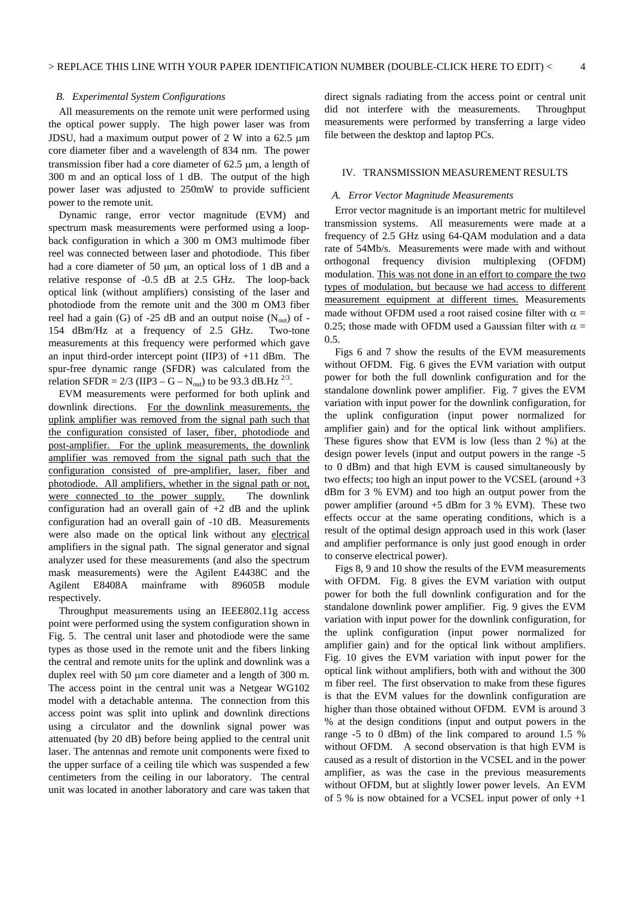#### *B. Experimental System Configurations*

All measurements on the remote unit were performed using the optical power supply. The high power laser was from JDSU, had a maximum output power of  $2 \text{ W}$  into a 62.5  $\mu$ m core diameter fiber and a wavelength of 834 nm. The power transmission fiber had a core diameter of 62.5 µm, a length of 300 m and an optical loss of 1 dB. The output of the high power laser was adjusted to 250mW to provide sufficient power to the remote unit.

Dynamic range, error vector magnitude (EVM) and spectrum mask measurements were performed using a loopback configuration in which a 300 m OM3 multimode fiber reel was connected between laser and photodiode. This fiber had a core diameter of 50  $\mu$ m, an optical loss of 1 dB and a relative response of -0.5 dB at 2.5 GHz. The loop-back optical link (without amplifiers) consisting of the laser and photodiode from the remote unit and the 300 m OM3 fiber reel had a gain (G) of -25 dB and an output noise  $(N_{out})$  of -154 dBm/Hz at a frequency of 2.5 GHz. Two-tone measurements at this frequency were performed which gave an input third-order intercept point (IIP3) of +11 dBm. The spur-free dynamic range (SFDR) was calculated from the relation SFDR =  $2/3$  (IIP3 – G – N<sub>out</sub>) to be 93.3 dB.Hz <sup>2/3</sup>.

EVM measurements were performed for both uplink and downlink directions. For the downlink measurements, the uplink amplifier was removed from the signal path such that the configuration consisted of laser, fiber, photodiode and post-amplifier. For the uplink measurements, the downlink amplifier was removed from the signal path such that the configuration consisted of pre-amplifier, laser, fiber and photodiode. All amplifiers, whether in the signal path or not, were connected to the power supply. The downlink configuration had an overall gain of  $+2$  dB and the uplink configuration had an overall gain of -10 dB. Measurements were also made on the optical link without any electrical amplifiers in the signal path. The signal generator and signal analyzer used for these measurements (and also the spectrum mask measurements) were the Agilent E4438C and the Agilent E8408A mainframe with 89605B module respectively.

Throughput measurements using an IEEE802.11g access point were performed using the system configuration shown in Fig. 5. The central unit laser and photodiode were the same types as those used in the remote unit and the fibers linking the central and remote units for the uplink and downlink was a duplex reel with 50 µm core diameter and a length of 300 m. The access point in the central unit was a Netgear WG102 model with a detachable antenna. The connection from this access point was split into uplink and downlink directions using a circulator and the downlink signal power was attenuated (by 20 dB) before being applied to the central unit laser. The antennas and remote unit components were fixed to the upper surface of a ceiling tile which was suspended a few centimeters from the ceiling in our laboratory. The central unit was located in another laboratory and care was taken that direct signals radiating from the access point or central unit did not interfere with the measurements. Throughput measurements were performed by transferring a large video file between the desktop and laptop PCs.

#### IV. TRANSMISSION MEASUREMENT RESULTS

#### *A. Error Vector Magnitude Measurements*

Error vector magnitude is an important metric for multilevel transmission systems. All measurements were made at a frequency of 2.5 GHz using 64-QAM modulation and a data rate of 54Mb/s. Measurements were made with and without orthogonal frequency division multiplexing (OFDM) modulation. This was not done in an effort to compare the two types of modulation, but because we had access to different measurement equipment at different times. Measurements made without OFDM used a root raised cosine filter with  $\alpha =$ 0.25; those made with OFDM used a Gaussian filter with  $\alpha =$ 0.5.

Figs 6 and 7 show the results of the EVM measurements without OFDM. Fig. 6 gives the EVM variation with output power for both the full downlink configuration and for the standalone downlink power amplifier. Fig. 7 gives the EVM variation with input power for the downlink configuration, for the uplink configuration (input power normalized for amplifier gain) and for the optical link without amplifiers. These figures show that EVM is low (less than 2 %) at the design power levels (input and output powers in the range -5 to 0 dBm) and that high EVM is caused simultaneously by two effects; too high an input power to the VCSEL (around +3 dBm for 3 % EVM) and too high an output power from the power amplifier (around  $+5$  dBm for 3 % EVM). These two effects occur at the same operating conditions, which is a result of the optimal design approach used in this work (laser and amplifier performance is only just good enough in order to conserve electrical power).

Figs 8, 9 and 10 show the results of the EVM measurements with OFDM. Fig. 8 gives the EVM variation with output power for both the full downlink configuration and for the standalone downlink power amplifier. Fig. 9 gives the EVM variation with input power for the downlink configuration, for the uplink configuration (input power normalized for amplifier gain) and for the optical link without amplifiers. Fig. 10 gives the EVM variation with input power for the optical link without amplifiers, both with and without the 300 m fiber reel. The first observation to make from these figures is that the EVM values for the downlink configuration are higher than those obtained without OFDM. EVM is around 3 % at the design conditions (input and output powers in the range -5 to 0 dBm) of the link compared to around 1.5 % without OFDM. A second observation is that high EVM is caused as a result of distortion in the VCSEL and in the power amplifier, as was the case in the previous measurements without OFDM, but at slightly lower power levels. An EVM of 5 % is now obtained for a VCSEL input power of only +1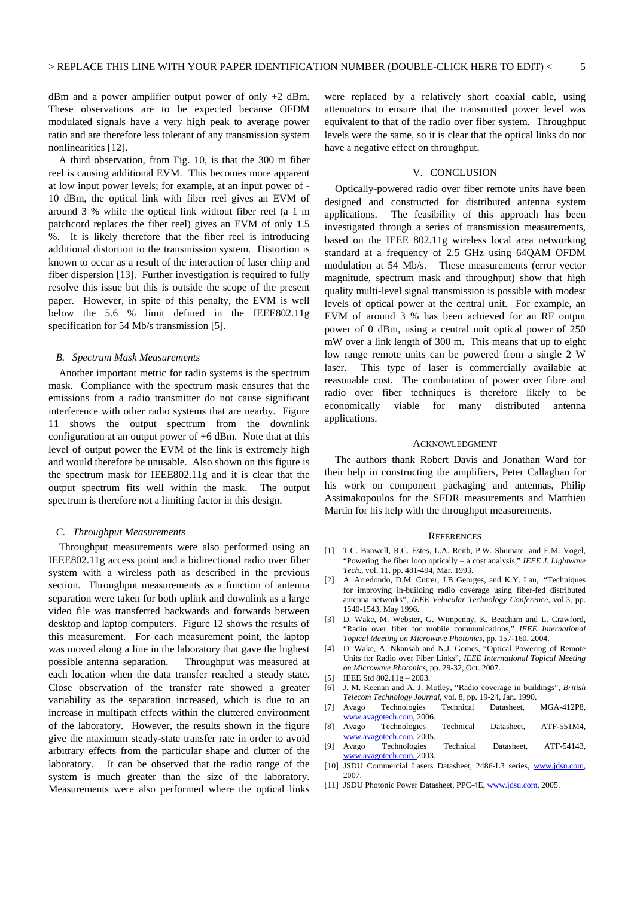dBm and a power amplifier output power of only  $+2$  dBm. These observations are to be expected because OFDM modulated signals have a very high peak to average power ratio and are therefore less tolerant of any transmission system nonlinearities [12].

A third observation, from Fig. 10, is that the 300 m fiber reel is causing additional EVM. This becomes more apparent at low input power levels; for example, at an input power of - 10 dBm, the optical link with fiber reel gives an EVM of around 3 % while the optical link without fiber reel (a 1 m patchcord replaces the fiber reel) gives an EVM of only 1.5 %. It is likely therefore that the fiber reel is introducing additional distortion to the transmission system. Distortion is known to occur as a result of the interaction of laser chirp and fiber dispersion [13]. Further investigation is required to fully resolve this issue but this is outside the scope of the present paper. However, in spite of this penalty, the EVM is well below the 5.6 % limit defined in the IEEE802.11g specification for 54 Mb/s transmission [5].

#### *B. Spectrum Mask Measurements*

Another important metric for radio systems is the spectrum mask. Compliance with the spectrum mask ensures that the emissions from a radio transmitter do not cause significant interference with other radio systems that are nearby. Figure 11 shows the output spectrum from the downlink configuration at an output power of +6 dBm. Note that at this level of output power the EVM of the link is extremely high and would therefore be unusable. Also shown on this figure is the spectrum mask for IEEE802.11g and it is clear that the output spectrum fits well within the mask. The output spectrum is therefore not a limiting factor in this design.

#### *C. Throughput Measurements*

Throughput measurements were also performed using an IEEE802.11g access point and a bidirectional radio over fiber system with a wireless path as described in the previous section. Throughput measurements as a function of antenna separation were taken for both uplink and downlink as a large video file was transferred backwards and forwards between desktop and laptop computers. Figure 12 shows the results of this measurement. For each measurement point, the laptop was moved along a line in the laboratory that gave the highest possible antenna separation. Throughput was measured at each location when the data transfer reached a steady state. Close observation of the transfer rate showed a greater variability as the separation increased, which is due to an increase in multipath effects within the cluttered environment of the laboratory. However, the results shown in the figure give the maximum steady-state transfer rate in order to avoid arbitrary effects from the particular shape and clutter of the laboratory. It can be observed that the radio range of the system is much greater than the size of the laboratory. Measurements were also performed where the optical links

were replaced by a relatively short coaxial cable, using attenuators to ensure that the transmitted power level was equivalent to that of the radio over fiber system. Throughput levels were the same, so it is clear that the optical links do not have a negative effect on throughput.

#### V. CONCLUSION

Optically-powered radio over fiber remote units have been designed and constructed for distributed antenna system applications. The feasibility of this approach has been investigated through a series of transmission measurements, based on the IEEE 802.11g wireless local area networking standard at a frequency of 2.5 GHz using 64QAM OFDM modulation at 54 Mb/s. These measurements (error vector magnitude, spectrum mask and throughput) show that high quality multi-level signal transmission is possible with modest levels of optical power at the central unit. For example, an EVM of around 3 % has been achieved for an RF output power of 0 dBm, using a central unit optical power of 250 mW over a link length of 300 m. This means that up to eight low range remote units can be powered from a single 2 W laser. This type of laser is commercially available at reasonable cost. The combination of power over fibre and radio over fiber techniques is therefore likely to be economically viable for many distributed antenna applications.

#### ACKNOWLEDGMENT

The authors thank Robert Davis and Jonathan Ward for their help in constructing the amplifiers, Peter Callaghan for his work on component packaging and antennas, Philip Assimakopoulos for the SFDR measurements and Matthieu Martin for his help with the throughput measurements.

#### **REFERENCES**

- [1] T.C. Banwell, R.C. Estes, L.A. Reith, P.W. Shumate, and E.M. Vogel, "Powering the fiber loop optically – a cost analysis," *IEEE J. Lightwave Tech*., vol. 11, pp. 481-494, Mar. 1993.
- [2] A. Arredondo, D.M. Cutrer, J.B Georges, and K.Y. Lau, "Techniques for improving in-building radio coverage using fiber-fed distributed antenna networks", *IEEE Vehicular Technology Conference*, vol.3, pp. 1540-1543, May 1996.
- [3] D. Wake, M. Webster, G. Wimpenny, K. Beacham and L. Crawford, "Radio over fiber for mobile communications," *IEEE International Topical Meeting on Microwave Photonics*, pp. 157-160, 2004.
- [4] D. Wake, A. Nkansah and N.J. Gomes, "Optical Powering of Remote Units for Radio over Fiber Links", *IEEE International Topical Meeting on Microwave Photonics*, pp. 29-32, Oct. 2007.
- [5] IEEE Std 802.11g 2003.
- [6] J. M. Keenan and A. J. Motley, "Radio coverage in buildings", *British Telecom Technology Journal*, vol. 8, pp. 19-24, Jan. 1990.
- [7] Avago Technologies Technical Datasheet, MGA-412P8,
- www.avagotech.com, 2006.<br>Avago Technologies [8] Avago Technologies Technical Datasheet, ATF-551M4, www.avagotech.com, 2005.
- [9] Avago Technologies Technical Datasheet, ATF-54143, www.avagotech.com, 2003.
- [10] JSDU Commercial Lasers Datasheet, 2486-L3 series, www.jdsu.com, 2007.
- [11] JSDU Photonic Power Datasheet, PPC-4E, www.jdsu.com, 2005.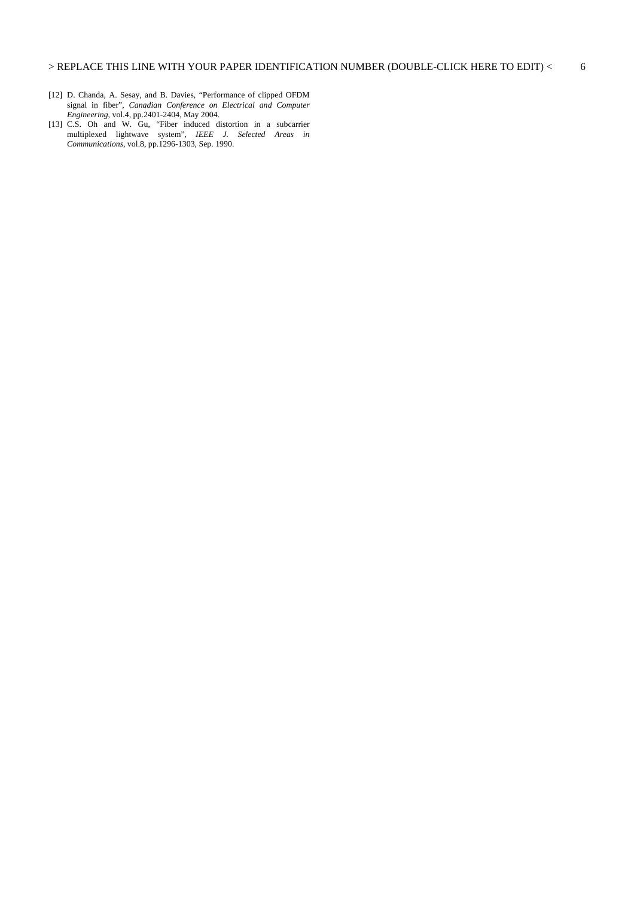- [12] D. Chanda, A. Sesay, and B. Davies, "Performance of clipped OFDM signal in fiber", *Canadian Conference on Electrical and Computer Engineering*, vol.4, pp.2401-2404, May 2004.
- [13] C.S. Oh and W. Gu, "Fiber induced distortion in a subcarrier multiplexed lightwave system", *IEEE J. Selected Areas in Communications*, vol.8, pp.1296-1303, Sep. 1990.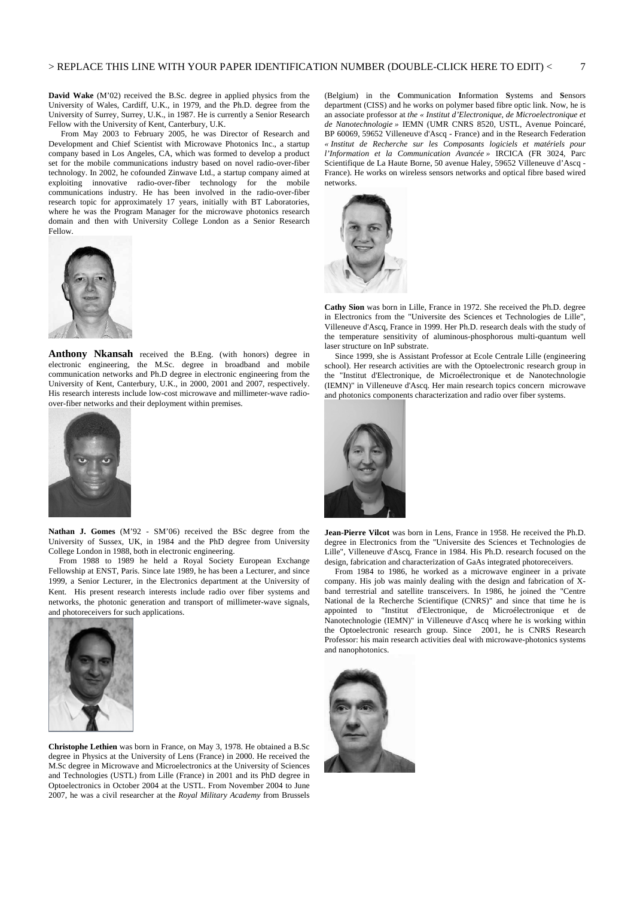**David Wake** (M'02) received the B.Sc. degree in applied physics from the University of Wales, Cardiff, U.K., in 1979, and the Ph.D. degree from the University of Surrey, Surrey, U.K., in 1987. He is currently a Senior Research Fellow with the University of Kent, Canterbury, U.K.

From May 2003 to February 2005, he was Director of Research and Development and Chief Scientist with Microwave Photonics Inc., a startup company based in Los Angeles, CA, which was formed to develop a product set for the mobile communications industry based on novel radio-over-fiber technology. In 2002, he cofounded Zinwave Ltd., a startup company aimed at exploiting innovative radio-over-fiber technology for the mobile communications industry. He has been involved in the radio-over-fiber research topic for approximately 17 years, initially with BT Laboratories, where he was the Program Manager for the microwave photonics research domain and then with University College London as a Senior Research Fellow.



**Anthony Nkansah** received the B.Eng. (with honors) degree in electronic engineering, the M.Sc. degree in broadband and mobile communication networks and Ph.D degree in electronic engineering from the University of Kent, Canterbury, U.K., in 2000, 2001 and 2007, respectively. His research interests include low-cost microwave and millimeter-wave radioover-fiber networks and their deployment within premises.



**Nathan J. Gomes** (M'92 - SM'06) received the BSc degree from the University of Sussex, UK, in 1984 and the PhD degree from University College London in 1988, both in electronic engineering.

From 1988 to 1989 he held a Royal Society European Exchange Fellowship at ENST, Paris. Since late 1989, he has been a Lecturer, and since 1999, a Senior Lecturer, in the Electronics department at the University of Kent. His present research interests include radio over fiber systems and networks, the photonic generation and transport of millimeter-wave signals, and photoreceivers for such applications.



**Christophe Lethien** was born in France, on May 3, 1978. He obtained a B.Sc degree in Physics at the University of Lens (France) in 2000. He received the M.Sc degree in Microwave and Microelectronics at the University of Sciences and Technologies (USTL) from Lille (France) in 2001 and its PhD degree in Optoelectronics in October 2004 at the USTL. From November 2004 to June 2007, he was a civil researcher at the *Royal Military Academy* from Brussels (Belgium) in the **C**ommunication **I**nformation **S**ystems and **S**ensors department (CISS) and he works on polymer based fibre optic link. Now, he is an associate professor at *the « Institut d'Electronique, de Microelectronique et de Nanotechnologie »* IEMN (UMR CNRS 8520, USTL, Avenue Poincaré, BP 60069, 59652 Villeneuve d'Ascq - France) and in the Research Federation *« Institut de Recherche sur les Composants logiciels et matériels pour l'Information et la Communication Avancée »* IRCICA (FR 3024, Parc Scientifique de La Haute Borne, 50 avenue Haley, 59652 Villeneuve d'Ascq - France). He works on wireless sensors networks and optical fibre based wired networks.



**Cathy Sion** was born in Lille, France in 1972. She received the Ph.D. degree in Electronics from the "Universite des Sciences et Technologies de Lille", Villeneuve d'Ascq, France in 1999. Her Ph.D. research deals with the study of the temperature sensitivity of aluminous-phosphorous multi-quantum well laser structure on InP substrate.

 Since 1999, she is Assistant Professor at Ecole Centrale Lille (engineering school). Her research activities are with the Optoelectronic research group in the "Institut d'Electronique, de Microélectronique et de Nanotechnologie (IEMN)" in Villeneuve d'Ascq. Her main research topics concern microwave and photonics components characterization and radio over fiber systems.



**Jean-Pierre Vilcot** was born in Lens, France in 1958. He received the Ph.D. degree in Electronics from the "Universite des Sciences et Technologies de Lille", Villeneuve d'Ascq, France in 1984. His Ph.D. research focused on the design, fabrication and characterization of GaAs integrated photoreceivers.

 From 1984 to 1986, he worked as a microwave engineer in a private company. His job was mainly dealing with the design and fabrication of Xband terrestrial and satellite transceivers. In 1986, he joined the "Centre National de la Recherche Scientifique (CNRS)" and since that time he is appointed to "Institut d'Electronique, de Microélectronique et de Nanotechnologie (IEMN)" in Villeneuve d'Ascq where he is working within the Optoelectronic research group. Since 2001, he is CNRS Research Professor: his main research activities deal with microwave-photonics systems and nanophotonics.

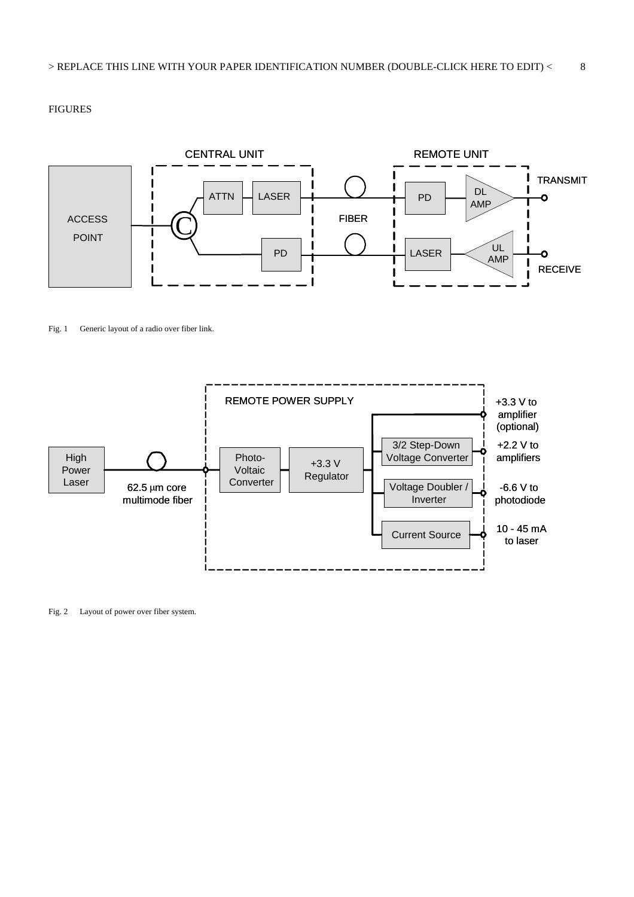#### FIGURES



#### Fig. 1 Generic layout of a radio over fiber link.



Fig. 2 Layout of power over fiber system.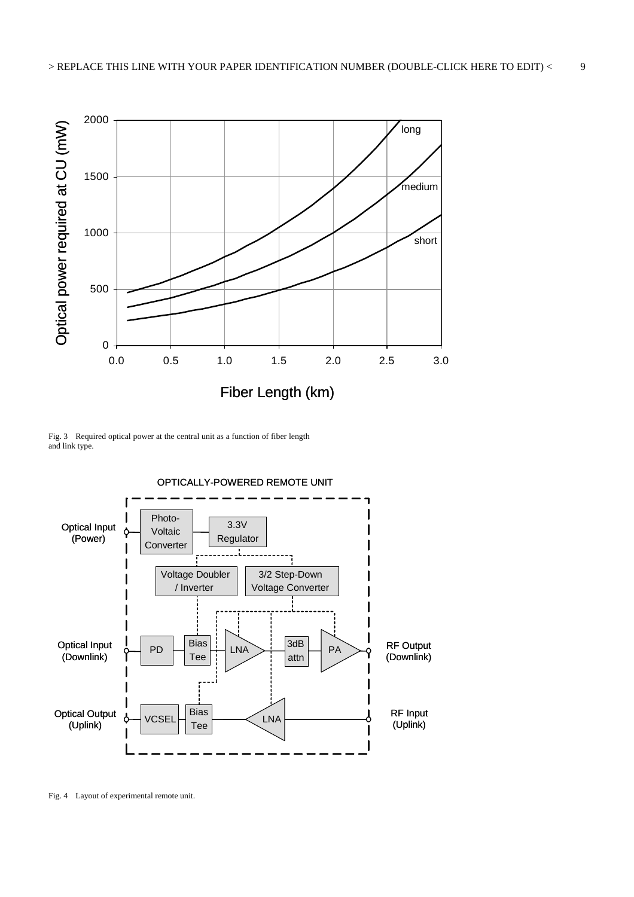

Fig. 3 Required optical power at the central unit as a function of fiber length and link type.



Fig. 4 Layout of experimental remote unit.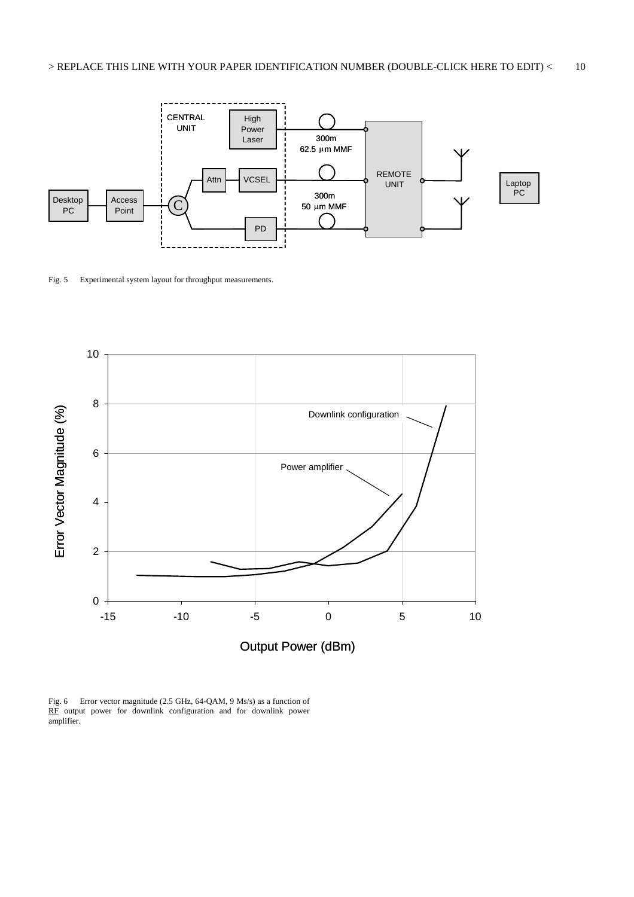

Fig. 5 Experimental system layout for throughput measurements.



Fig. 6 Error vector magnitude (2.5 GHz, 64-QAM, 9 Ms/s) as a function of RF output power for downlink configuration and for downlink power amplifier.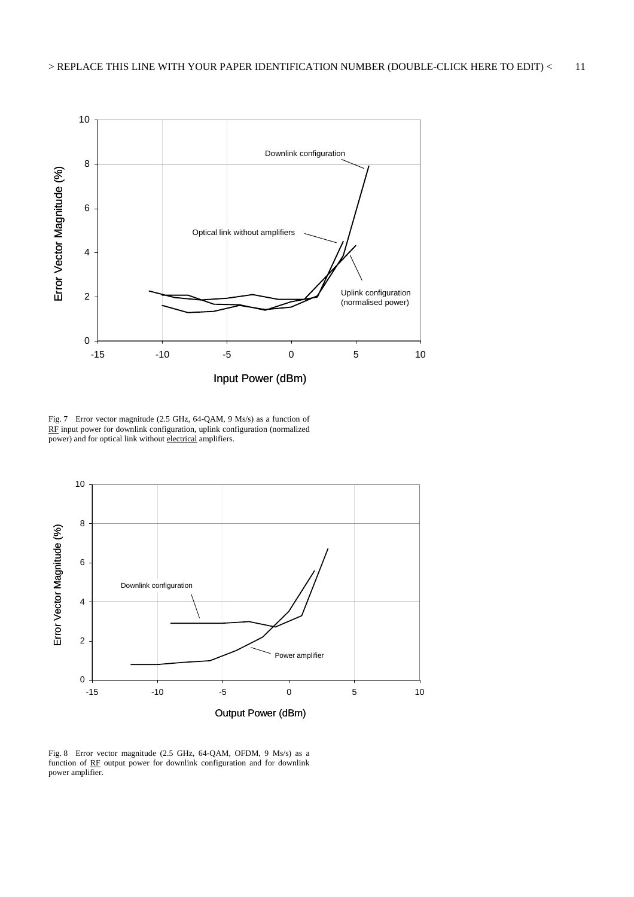

Fig. 7 Error vector magnitude (2.5 GHz, 64-QAM, 9 Ms/s) as a function of RF input power for downlink configuration, uplink configuration (normalized  $\overline{p}$  power) and for optical link without electrical amplifiers.



Fig. 8 Error vector magnitude (2.5 GHz, 64-QAM, OFDM, 9 Ms/s) as a function of RF output power for downlink configuration and for downlink power amplifier.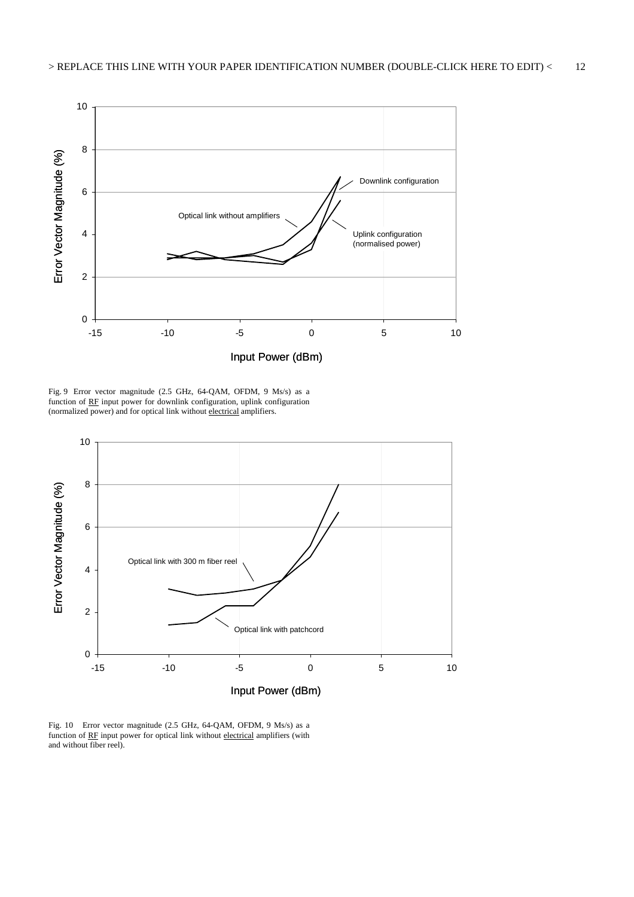

Fig. 9 Error vector magnitude (2.5 GHz, 64-QAM, OFDM, 9 Ms/s) as a function of RF input power for downlink configuration, uplink configuration (normalized power) and for optical link without electrical amplifiers.



Fig. 10 Error vector magnitude (2.5 GHz, 64-QAM, OFDM, 9 Ms/s) as a function of RF input power for optical link without electrical amplifiers (with and without fiber reel).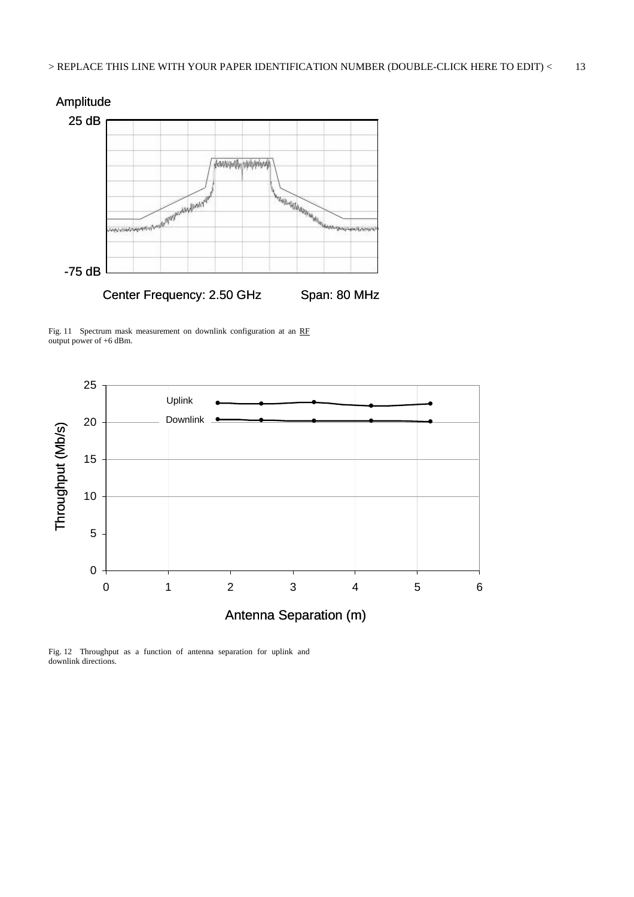

Fig. 11 Spectrum mask measurement on downlink configuration at an RF output power of +6 dBm.



Fig. 12 Throughput as a function of antenna separation for uplink and downlink directions.